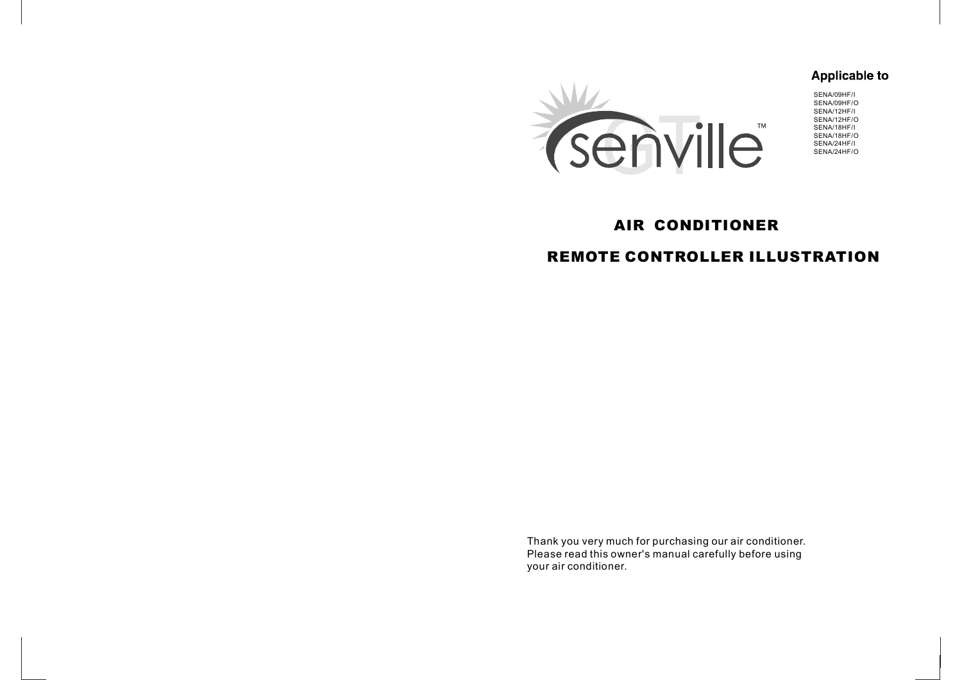# **Applicable to**



SENA/09HF/I SENA/09HF/O SENA/12HF/I SENA/12HF/O SENA/18HF/I SENA/18HF/O SENA/24HF/I SENA/24HF/O

# **AIR CONDITIONER**

# **REMOTE CONTROLLER ILLUSTRATION**

Thank you very much for purchasing our air conditioner. Please read this owner's manual carefully before using your air conditioner.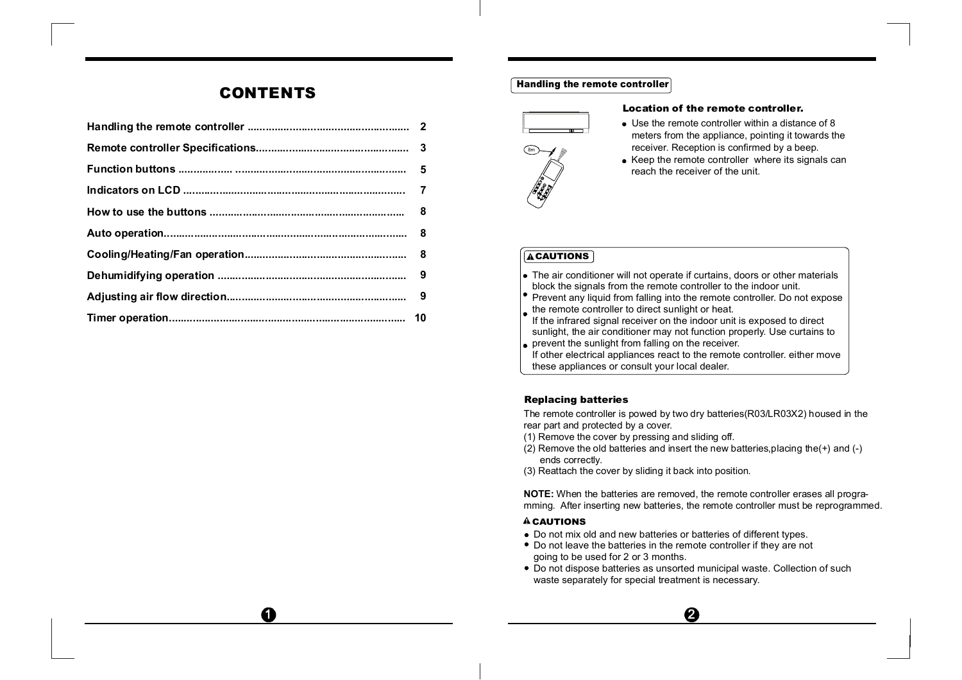# **CONTENTS**

 $\mathbf G$ 

#### **Handling the remote controller**



#### **Location of the remote controller.**

- Use the remote controller within a distance of 8 meters from the appliance, pointing it towards the receiver. Reception is confirmed by a beep.
- Keep the remote controller where its signals can reach the receiver of the unit.

## **ACAUTIONS**

- The air conditioner will not operate if curtains, doors or other materials block the signals from the remote controller to the indoor unit.
- Prevent any liquid from falling into the remote controller. Do not expose the remote controller to direct sunlight or heat.
- If the infrared signal receiver on the indoor unit is exposed to direct sunlight, the air conditioner may not function properly. Use curtains to
- prevent the sunlight from falling on the receiver. If other electrical appliances react to the remote controller. either move these appliances or consult your local dealer.

#### **Replacing batteries**

The remote controller is powed by two dry batteries(R03/LR03X2) housed in the rear part and protected by a cover.

- (1) Remove the cover by pressing and sliding off.
- (2) Remove the old batteries and insert the new batteries, placing the  $(+)$  and  $(-)$ ends correctly.
- (3) Reattach the cover by sliding it back into position.

**NOTE:** When the batteries are removed, the remote controller erases all programming. After inserting new batteries, the remote controller must be reprogrammed.

#### **ACAUTIONS**

- Do not mix old and new batteries or batteries of different types.
- Do not leave the batteries in the remote controller if they are not going to be used for 2 or 3 months.
- Do not dispose batteries as unsorted municipal waste. Collection of such waste separately for special treatment is necessary.

 $\boldsymbol{\varrho}$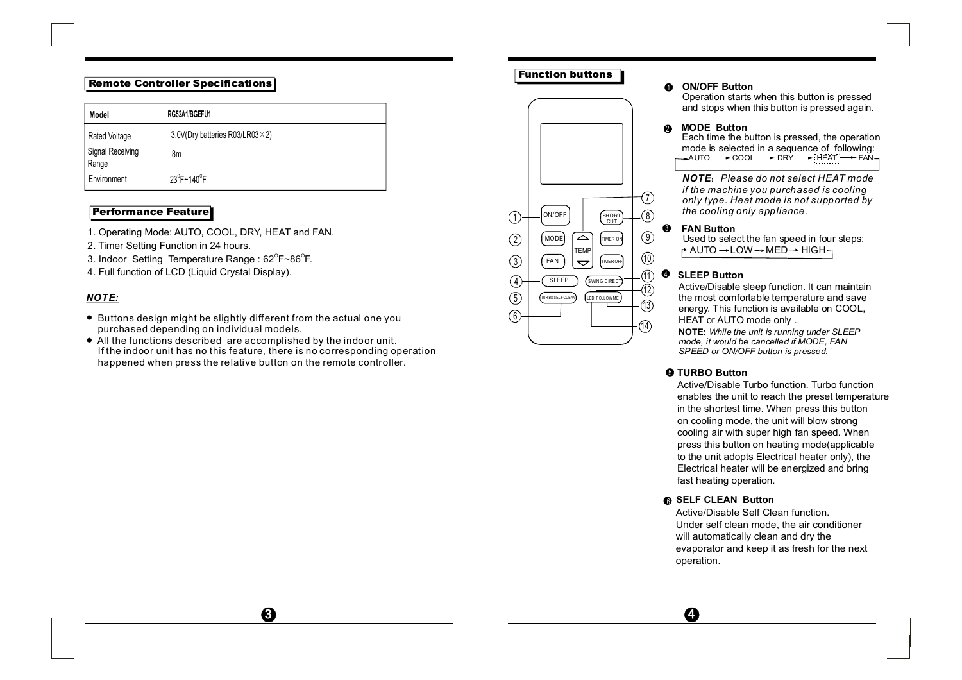## **Remote Controller Specifications**

| Model                     | RG52A1/BGEFU1                           |
|---------------------------|-----------------------------------------|
| Rated Voltage             | 3.0V(Dry batteries R03/LR03 $\times$ 2) |
| Signal Receiving<br>Range | 8m                                      |
| Environment               | $23^{\circ}$ F~140 $^{\circ}$ F         |

## **Performance Feature**

- 1. Operating Mode: AUTO, COOL, DRY, HEAT and FAN.
- 2. Timer Setting Function in 24 hours.
- 3. Indoor Setting Temperature Range :  $62^{\circ}$ F~86 $^{\circ}$ F.
- 4. Full function of LCD (Liquid Crystal Display).

## *NOTE:*

- Buttons design might be slightly different from the actual one you purchased depending on individual models.
- All the functions described are accomplished by the indoor unit. If the indoor unit has no this feature, there is no corresponding operation happened when press the relative button on the remote controller.

 $\boldsymbol{\Theta}$ 

# **Function buttons**



#### 1 **ON/OFF Button**

Operation starts when this button is pressed and stops when this button is pressed again.

## 2 **MODE Button**

Each time the button is pressed, the operation mode is selected in a sequence of following:  $\rightarrow$ AUTO  $\rightarrow$  COOL  $\rightarrow$  DRY  $\rightarrow$  HEAT  $\rightarrow$  FAN-

 **Please do not select HEAT mode** *if the machine you purchased is cooling only type. Heat mode is not supported by the cooling only appliance.*

#### $\bullet$ **FAN Button**

Used to select the fan speed in four steps:  $\uparrow$  AUTO  $\rightarrow$  LOW  $\rightarrow$  MED  $\rightarrow$  HIGH $\rightarrow$ 

#### $\bullet$ **SLEEP Button**

Active/Disable sleep function. It can maintain the most comfortable temperature and save energy. This function is available on COOL, HEAT or AUTO mode only .

**NOTE:** *While the unit is running under SLEEP mode, it would be cancelled if MODE, FAN SPEED or ON/OFF button is pressed.*

## 5 **TURBO Button**

Active/Disable Turbo function. Turbo function enables the unit to reach the preset temperature in the shortest time. When press this button on cooling mode, the unit will blow strong cooling air with super high fan speed. When press this button on heating mode(applicable to the unit adopts Electrical heater only), the Electrical heater will be energized and bring fast heating operation.

#### 6 **SELF CLEAN Button**

A

Active/Disable Self Clean function. Under self clean mode, the air conditioner will automatically clean and dry the evaporator and keep it as fresh for the next operation.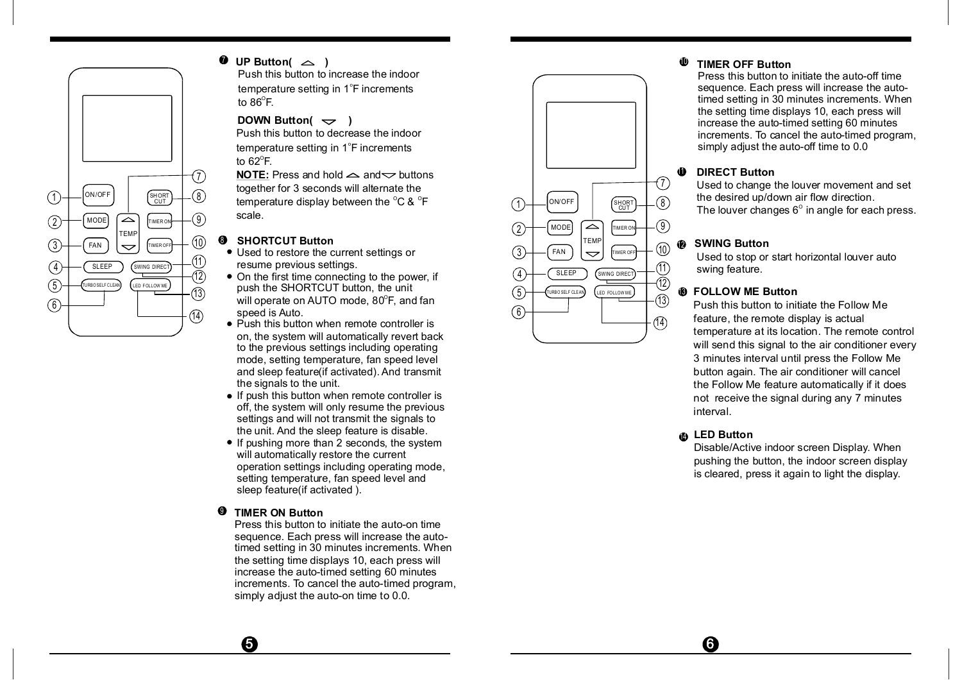

# $\n *UP*$  **Button(**  $\triangle$  **)**

Push this button to increase the indoor temperature setting in 1°F increments to 86 $^{\circ}$ F.

## **DOWN Button(** $\sim$ )

Push this button to decrease the indoor temperature setting in 1°F increments to 62 $\mathrm{^{\circ}F}.$ 

CUT THE CONFIDENT CONTROL CHIPPER CONTROL CHIPPER CONTROL CHIPPER CHIPPER CHIPPER CHIPPER CHIPPER CHIPPER CHIPPER CHIPPER CHIPPER CHIPPER CHIPPER CHIPPER CHIPPER CHIPPER CHIPPER CHIPPER CHIPPER CHIPPER CHIPPER CHIPPER CHIP **NOTE:** Press and hold  $\leq$  and  $\leq$  buttons together for 3 seconds will alternate the scale.

# **SHORTCUT Button**

- 
- 12) On the first time connecting to the power, if  $\overline{a}$   $\overline{b}$  ( $\overline{a}$ ) (SUNCED) (SWING DIRECT) (12) push the SHORTCUT button, the unit  $\frac{(5)}{2}$  Will operate on AUTO mode, 80<sup>°</sup>F, and fan speed is Auto.
	- on, the system will automatically revert back to the previous settings including operating mode, setting temperature, fan speed level and sleep feature(if activated). And transmit the signals to the unit.
	- If push this button when remote controller is off, the system will only resume the previous settings and will not transmit the signals to the unit. And the sleep feature is disable.
	- If pushing more than 2 seconds, the system will automatically restore the current operation settings including operating mode, setting temperature, fan speed level and sleep feature(if activated ).

#### ⋒ **TIMER ON Button**

0

Press this button to initiate the auto-on time sequence. Each press will increase the autotimed setting in 30 minutes increments. When the setting time displays 10, each press will increase the auto-timed setting 60 minutes increments. To cancel the auto-timed program, simply adjust the auto-on time to 0.0.



#### **TIMER OFF Button** 10

Press this button to initiate the auto-off time sequence. Each press will increase the autotimed setting in 30 minutes increments. When the setting time displays 10, each press will increase the auto-timed setting 60 minutes increments. To cancel the auto-timed program, simply adjust the auto-off time to 0.0

# **1** DIRECT Button

Used to change the louver movement and set the desired up/down air flow direction. The louver changes  $6^{\circ}$  in angle for each press.

# **SWING Button**

Used to stop or start horizontal louver auto swing feature.

# 13 **FOLLOW ME Button**

Push this button to initiate the Follow Me feature, the remote display is actual temperature at its location. The remote control will send this signal to the air conditioner every 3 minutes interval until press the Follow Me button again. The air conditioner will cancel the Follow Me feature automatically if it does not receive the signal during any 7 minutes interval.

# 14 **LED Button**

6

Disable/Active indoor screen Display. When pushing the button, the indoor screen display is cleared, press it again to light the display.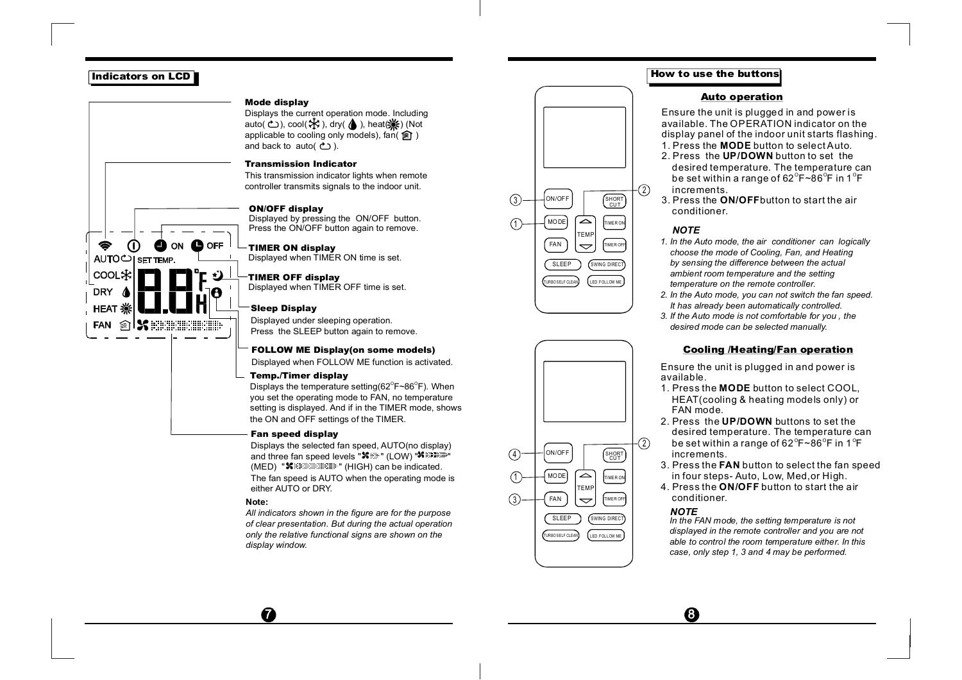#### **Indicators on LCD**

⋒

AUTO<sup>U</sup> SET TEMP.

≦ী **FAN** 

COOL≸ **DRY HEAT** 

ON

 $\mathbf k$  produced  $\mathbf k$ 

 $\bullet$  OFF

#### **Mode display**

Displays the current operation mode. Including auto( $\bigcirc$ ), cool( $\bigstar$ ), dry( $\bigcirc$ ), heat( $\bigstar$ )(Not applicable to cooling only models),  $tan($ and back to auto( $\uparrow$ ).

#### **Transmission Indicator**

This transmission indicator lights when remote controller transmits signals to the indoor unit.

#### **ON/OFF display**

Displayed by pressing the ON/OFF button. Press the ON/OFF button again to remove.

## **TIMER ON display**

Displayed when TIMER ON time is set.

## **TIMER OFF display**

Displayed when TIMER OFF time is set.

#### **Sleep Display**

Displayed under sleeping operation. Press the SLEEP button again to remove.

#### **FOLLOW ME Display(on some models)**

Displayed when FOLLOW ME function is activated.

#### **Temp./Timer display**

Displays the temperature setting  $(62^{\circ}F \sim 86^{\circ}F)$ . When you set the operating mode to FAN, no temperature setting is displayed. And if in the TIMER mode, shows the ON and OFF settings of the TIMER.

#### **Fan speed display**

Displays the selected fan speed, AUTO(no display) and three fan speed levels "<sup>%</sup> \*\* " (LOW) "<sup>% maan</sup>"  $(MED)$  " $\blacktriangleright$  "  $(HIGH)$  can be indicated. The fan speed is AUTO when the operating mode is either AUTO or DRY.

#### **Note:**

 $\boldsymbol{a}$ 

*All indicators shown in the figure are for the purpose of clear presentation. But during the actual operation only the relative functional signs are shown on the display window.*





## **How to use the buttons**

#### **Auto operation**

Ensure the unit is plugged in and power is available. The OPERATION indicator on the display panel of the indoor unit starts flashing.

- 1. Press the **MODE** button to select Auto.
- 2. Press the **UP/DOWN** button to set the desired temperature. The temperature can be set within a range of 62 $^{\circ}$ F~86 $^{\circ}$ F in 1 $^{\circ}$ F  $\,$ increments.
- 3. Press the **ON/OFF** button to start the air conditioner.

#### *NOTE*

- *1. In the Auto mode, the air conditioner can logically choose the mode of Cooling, Fan, and Heating by sensing the difference between the actual ambient room temperature and the setting temperature on the remote controller.*
- *2. In the Auto mode, you can not switch the fan speed. It has already been automatically controlled.*
- *3. If the Auto mode is not comfortable for you , the desired mode can be selected manually.*

#### **Cooling /Heating/Fan operation**

Ensure the unit is plugged in and power is available.

- 1. Press the **MODE** button to select COOL, HEAT(cooling & heating models only) or FAN mode.
- 2. Press the **UP/DOWN** buttons to set the desired temperature. The temperature can be set within a range of 62 $^{\circ}$ F~86 $^{\circ}$ F in 1 $^{\circ}$ F  $\,$ increments.
- 3. Press the **FAN** button to select the fan speed in four steps- Auto, Low, Med,or High.
- 4. Press the **ON/OFF** button to start the air conditioner.

#### *NOTE*

 $\boldsymbol{\Omega}$ 

*In the FAN mode, the setting temperature is not displayed in the remote controller and you are not able to control the room temperature either. In this case, only step 1, 3 and 4 may be performed.*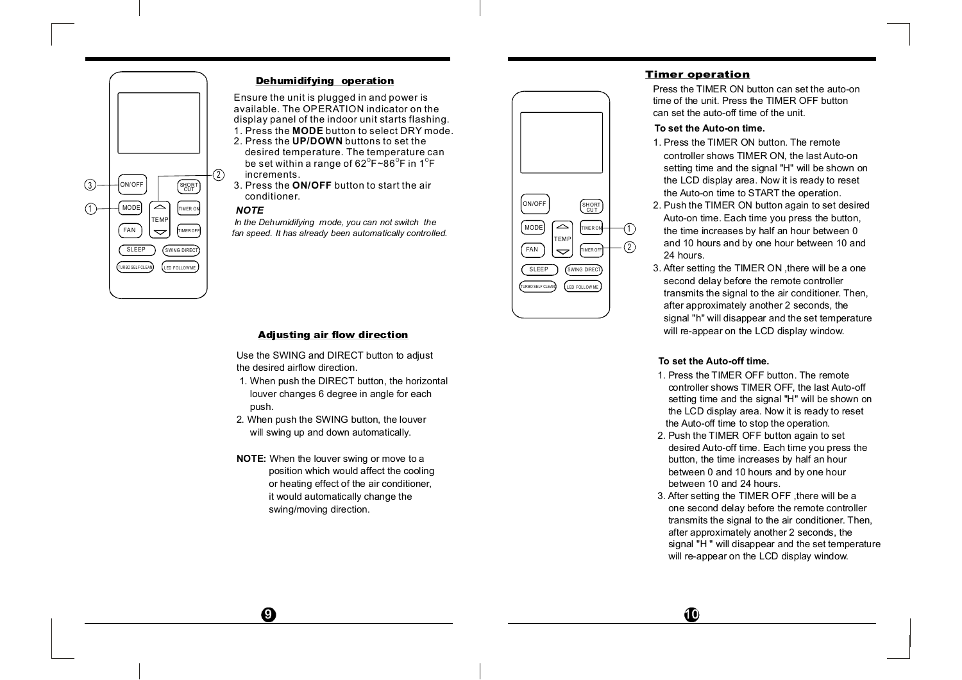

#### **Dehumidifying operation**

1. Press the **MODE** button to select DRY mode. Ensure the unit is plugged in and power is available. The OPERATION indicator on the display panel of the indoor unit starts flashing.

- 2. Press the **UP/DOWN** buttons to set the
- desired temperature. The temperature can be set within a range of 62 $^{\circ}$ F~86 $^{\circ}$ F in 1 $^{\circ}$ F  $\,$ increments.
- 3. Press the **ON/OFF** button to start the air conditioner.

#### *NOTE*

*In the Dehumidifying mode, you can not switch the fan speed. It has already been automatically controlled.*



#### **Timer operation**

Press the TIMER ON button can set the auto-on time of the unit. Press the TIMER OFF button can set the auto-off time of the unit.

#### **To set the Auto-on time.**

- 1. Press the TIMER ON button. The remote controller shows TIMER ON, the last Auto-on setting time and the signal "H" will be shown on the LCD display area. Now it is ready to reset the Auto-on time to START the operation.
- 2. Push the TIMER ON button again to set desired Auto-on time. Each time you press the button, the time increases by half an hour between 0 and 10 hours and by one hour between 10 and 24 hours.
- 3. After setting the TIMER ON ,there will be a one second delay before the remote controller transmits the signal to the air conditioner. Then, after approximately another 2 seconds, the signal "h" will disappear and the set temperature will re-appear on the LCD display window.

#### **To set the Auto-off time.**

- 1. Press the TIMER OFF button. The remote controller shows TIMER OFF, the last Auto-off setting time and the signal "H" will be shown on the LCD display area. Now it is ready to reset the Auto-off time to stop the operation.
- 2. Push the TIMER OFF button again to set desired Auto-off time. Each time you press the button, the time increases by half an hour between 0 and 10 hours and by one hour between 10 and 24 hours.
- 3. After setting the TIMER OFF ,there will be a one second delay before the remote controller transmits the signal to the air conditioner. Then, after approximately another 2 seconds, the signal "H " will disappear and the set temperature will re-appear on the LCD display window.

#### **Adjusting air flow direction**

Use the SWING and DIRECT button to adjust the desired airflow direction.

- 1. When push the DIRECT button, the horizontal louver changes 6 degree in angle for each push.
- 2. When push the SWING button, the louver will swing up and down automatically.
- **NOTE:** When the louver swing or move to a position which would affect the cooling or heating effect of the air conditioner, it would automatically change the swing/moving direction.

 $\boldsymbol{\Omega}$ 

 $\bf \Phi$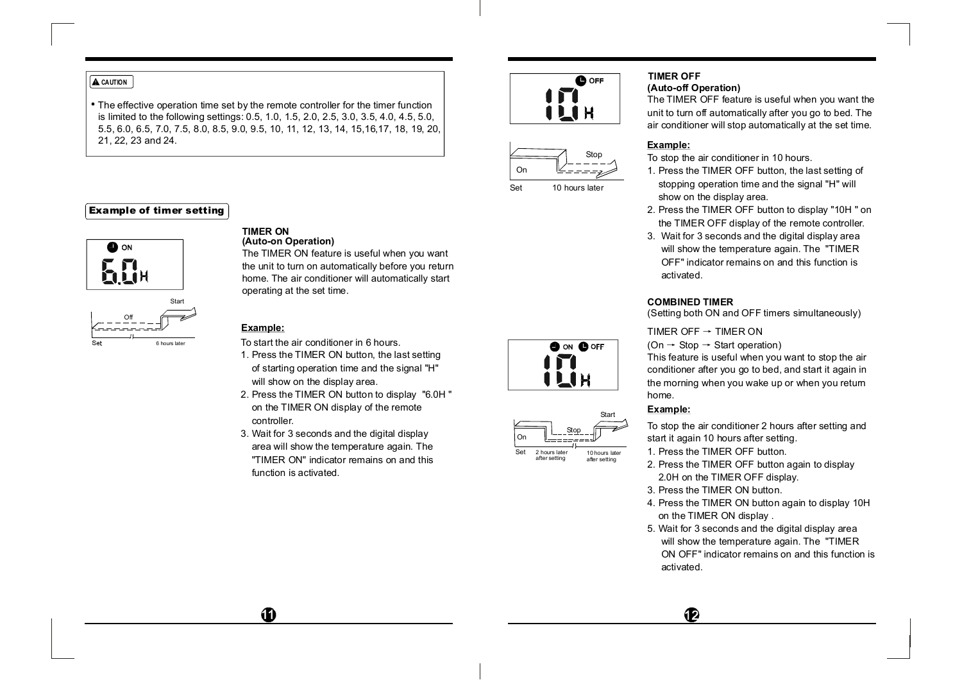#### **A** CAUTION

The effective operation time set by the remote controller for the timer function is limited to the following settings: 0.5, 1.0, 1.5, 2.0, 2.5, 3.0, 3.5, 4.0, 4.5, 5.0, 5.5, 6.0, 6.5, 7.0, 7.5, 8.0, 8.5, 9.0, 9.5, 10, 11, 12, 13, 14, 15,16,17, 18, 19, 20, 21, 22, 23 and 24.

## **Example of timer setting**





#### **(Auto-on Operation) TIMER ON**

The TIMER ON feature is useful when you want the unit to turn on automatically before you return home. The air conditioner will automatically start operating at the set time.

#### **Example:**

**T** 

To start the air conditioner in 6 hours.

- 1. Press the TIMER ON button, the last setting of starting operation time and the signal "H" will show on the display area.
- 2. Press the TIMER ON button to display "6.0H " on the TIMER ON display of the remote controller.
- 3. Wait for 3 seconds and the digital display area will show the temperature again. The "TIMER ON" indicator remains on and this function is activated.





Set 10 hours later

**Or** 

Set

Stop

**OO** ON **O**OFF

LIH

Start

10 hours later after setting

2 hours later after setting

#### **(Auto-off Operation) TIMER OFF**

The TIMER OFF feature is useful when you want the unit to turn off automatically after you go to bed. The air conditioner will stop automatically at the set time.

#### **Example:**

To stop the air conditioner in 10 hours.

- 1. Press the TIMER OFF button, the last setting of stopping operation time and the signal "H" will show on the display area.
- 2. Press the TIMER OFF button to display "10H " on the TIMER OFF display of the remote controller.
- 3. Wait for 3 seconds and the digital display area will show the temperature again. The "TIMER OFF" indicator remains on and this function is activated.

#### **COMBINED TIMER**

(Setting both ON and OFF timers simultaneously)

TIMER OFF  $\rightarrow$  TIMER ON

 $(On \rightarrow Stop \rightarrow Start operation)$ 

This feature is useful when you want to stop the air conditioner after you go to bed, and start it again in the morning when you wake up or when you return home.

#### **Example:**

To stop the air conditioner 2 hours after setting and start it again 10 hours after setting.

1. Press the TIMER OFF button.

- 2. Press the TIMER OFF button again to display 2.0H on the TIMER OFF display.
- 3. Press the TIMER ON button.
- 4. Press the TIMER ON button again to display 10H on the TIMER ON display .
- 5. Wait for 3 seconds and the digital display area will show the temperature again. The "TIMER ON OFF" indicator remains on and this function is activated.

 $\mathbf P$